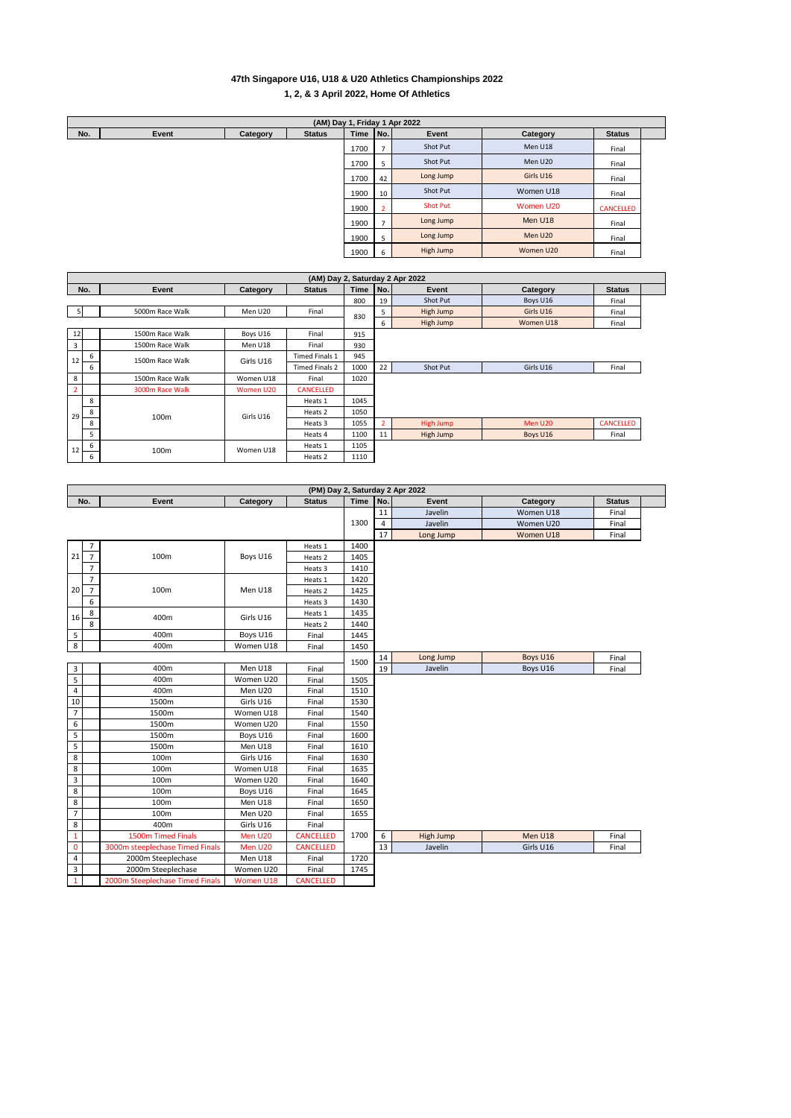## **47th Singapore U16, U18 & U20 Athletics Championships 2022 1, 2, & 3 April 2022, Home Of Athletics**

| (AM) Day 1, Friday 1 Apr 2022 |       |          |               |             |              |                 |           |                  |  |  |
|-------------------------------|-------|----------|---------------|-------------|--------------|-----------------|-----------|------------------|--|--|
| No.                           | Event | Category | <b>Status</b> | <b>Time</b> | No.          | Event           | Category  | <b>Status</b>    |  |  |
|                               |       |          |               | 1700        | э            | Shot Put        | Men U18   | Final            |  |  |
|                               |       |          |               | 1700        | 5            | Shot Put        | Men U20   | Final            |  |  |
|                               |       |          |               | 1700        | 42           | Long Jump       | Girls U16 | Final            |  |  |
|                               |       |          |               | 1900        | 10           | Shot Put        | Women U18 | Final            |  |  |
|                               |       |          |               | 1900        |              | <b>Shot Put</b> | Women U20 | <b>CANCELLED</b> |  |  |
|                               |       |          |               | 1900        |              | Long Jump       | Men U18   | Final            |  |  |
|                               |       |          |               | 1900        | b.           | Long Jump       | Men U20   | Final            |  |  |
|                               |       |          |               | 1900        | <sub>b</sub> | High Jump       | Women U20 | Final            |  |  |

|                | (AM) Day 2, Saturday 2 Apr 2022 |                 |                |                       |      |                |                  |           |                  |  |  |  |
|----------------|---------------------------------|-----------------|----------------|-----------------------|------|----------------|------------------|-----------|------------------|--|--|--|
|                | No.                             | Event           | Category       | <b>Status</b>         | Time | No.            | Event            | Category  | <b>Status</b>    |  |  |  |
|                |                                 |                 |                |                       |      | 19             | Shot Put         | Boys U16  | Final            |  |  |  |
| 5              |                                 | 5000m Race Walk | Men U20        | Final                 | 830  | 5              | High Jump        | Girls U16 | Final            |  |  |  |
|                |                                 |                 |                |                       | 6    | High Jump      | Women U18        | Final     |                  |  |  |  |
| 12             |                                 | 1500m Race Walk | Boys U16       | Final                 | 915  |                |                  |           |                  |  |  |  |
| $\overline{3}$ |                                 | 1500m Race Walk | Men U18        | Final                 | 930  |                |                  |           |                  |  |  |  |
| 12             | 6<br>1500m Race Walk            | Girls U16       | Timed Finals 1 | 945                   |      |                |                  |           |                  |  |  |  |
|                | 6                               |                 |                | <b>Timed Finals 2</b> | 1000 | 22             | Shot Put         | Girls U16 | Final            |  |  |  |
| 8              |                                 | 1500m Race Walk | Women U18      | Final                 | 1020 |                |                  |           |                  |  |  |  |
| $\overline{2}$ |                                 | 3000m Race Walk | Women U20      | <b>CANCELLED</b>      |      |                |                  |           |                  |  |  |  |
|                | 8                               |                 | Girls U16      | Heats 1               | 1045 |                |                  |           |                  |  |  |  |
| 29             | 8                               | 100m            |                | Heats 2               | 1050 |                |                  |           |                  |  |  |  |
|                | 8                               |                 |                | Heats 3               | 1055 | $\overline{2}$ | <b>High Jump</b> | Men U20   | <b>CANCELLED</b> |  |  |  |
|                | 5                               |                 |                | Heats 4               | 1100 | 11             | High Jump        | Boys U16  | Final            |  |  |  |
| 12             | 6                               | 100m            | Women U18      | Heats 1               | 1105 |                |                  |           |                  |  |  |  |
| 6              |                                 |                 |                | Heats 2               | 1110 |                |                  |           |                  |  |  |  |

|                      |                                 |           |                  |      |                | (PM) Day 2, Saturday 2 Apr 2022 |           |               |
|----------------------|---------------------------------|-----------|------------------|------|----------------|---------------------------------|-----------|---------------|
| No.                  | Event                           | Category  | <b>Status</b>    | Time | No.            | Event                           | Category  | <b>Status</b> |
|                      |                                 |           |                  |      | 11             | Javelin                         | Women U18 | Final         |
|                      |                                 |           |                  | 1300 | $\overline{4}$ | Javelin                         | Women U20 | Final         |
|                      |                                 |           |                  |      | 17             | Long Jump                       | Women U18 | Final         |
| $\overline{7}$       |                                 |           | Heats 1          | 1400 |                |                                 |           |               |
| 21<br>$\overline{7}$ | 100m                            | Boys U16  | Heats 2          | 1405 |                |                                 |           |               |
| $\overline{7}$       |                                 |           | Heats 3          | 1410 |                |                                 |           |               |
| $\overline{7}$       |                                 |           | Heats 1          | 1420 |                |                                 |           |               |
| $\overline{7}$<br>20 | 100m                            | Men U18   | Heats 2          | 1425 |                |                                 |           |               |
| 6                    |                                 |           | Heats 3          | 1430 |                |                                 |           |               |
| 8<br>16              | 400m                            | Girls U16 | Heats 1          | 1435 |                |                                 |           |               |
| 8                    |                                 |           | Heats 2          | 1440 |                |                                 |           |               |
| 5                    | 400m                            | Boys U16  | Final            | 1445 |                |                                 |           |               |
| 8                    | 400m                            | Women U18 | Final            | 1450 |                |                                 |           |               |
|                      |                                 |           |                  | 1500 | 14             | Long Jump                       | Boys U16  | Final         |
| 3                    | 400m                            | Men U18   | Final            |      | 19             | Javelin                         | Boys U16  | Final         |
| 5                    | 400m                            | Women U20 | Final            | 1505 |                |                                 |           |               |
| $\overline{4}$       | 400m                            | Men U20   | Final            | 1510 |                |                                 |           |               |
| 10                   | 1500m                           | Girls U16 | Final            | 1530 |                |                                 |           |               |
| $\overline{7}$       | 1500m                           | Women U18 | Final            | 1540 |                |                                 |           |               |
| 6                    | 1500m                           | Women U20 | Final            | 1550 |                |                                 |           |               |
| 5                    | 1500m                           | Boys U16  | Final            | 1600 |                |                                 |           |               |
| 5                    | 1500m                           | Men U18   | Final            | 1610 |                |                                 |           |               |
| 8                    | 100m                            | Girls U16 | Final            | 1630 |                |                                 |           |               |
| 8                    | 100m                            | Women U18 | Final            | 1635 |                |                                 |           |               |
| 3                    | 100m                            | Women U20 | Final            | 1640 |                |                                 |           |               |
| 8                    | 100m                            | Boys U16  | Final            | 1645 |                |                                 |           |               |
| 8                    | 100m                            | Men U18   | Final            | 1650 |                |                                 |           |               |
| $\overline{7}$       | 100m                            | Men U20   | Final            | 1655 |                |                                 |           |               |
| 8                    | 400m                            | Girls U16 | Final            |      |                |                                 |           |               |
| $\mathbf{1}$         | 1500m Timed Finals              | Men U20   | <b>CANCELLED</b> | 1700 | 6              | High Jump                       | Men U18   | Final         |
| 0                    | 3000m steeplechase Timed Finals | Men U20   | <b>CANCELLED</b> |      | 13             | Javelin                         | Girls U16 | Final         |
| $\overline{4}$       | 2000m Steeplechase              | Men U18   | Final            | 1720 |                |                                 |           |               |
| 3                    | 2000m Steeplechase              | Women U20 | Final            | 1745 |                |                                 |           |               |
| $\mathbf{1}$         | 2000m Steeplechase Timed Finals | Women U18 | <b>CANCELLED</b> |      |                |                                 |           |               |